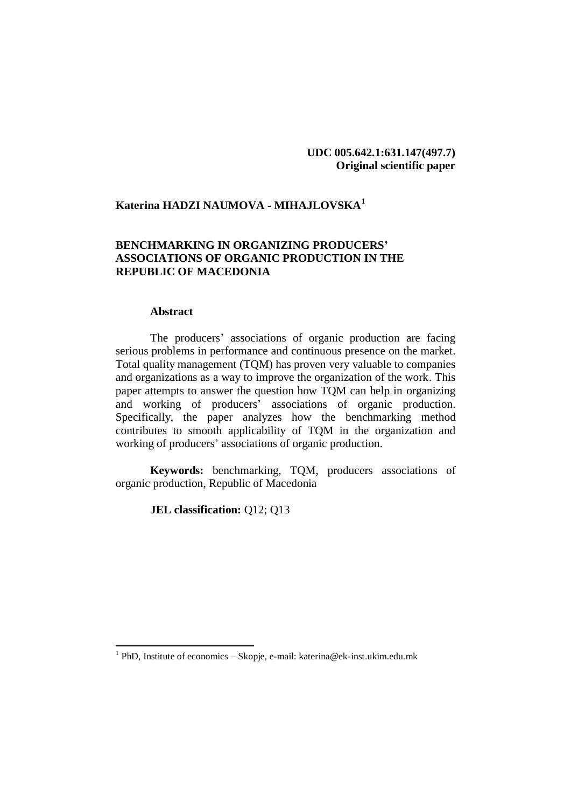# **UDC 005.642.1:631.147(497.7) Original scientific paper**

# **Katerina HADZI NAUMOVA - MIHAJLOVSKA<sup>1</sup>**

# **BENCHMARKING IN ORGANIZING PRODUCERS' ASSOCIATIONS OF ORGANIC PRODUCTION IN THE REPUBLIC OF MACEDONIA**

#### **Abstract**

The producers' associations of organic production are facing serious problems in performance and continuous presence on the market. Total quality management (TQM) has proven very valuable to companies and organizations as a way to improve the organization of the work. This paper attempts to answer the question how TQM can help in organizing and working of producers' associations of organic production. Specifically, the paper analyzes how the benchmarking method contributes to smooth applicability of TQM in the organization and working of producers' associations of organic production.

**Keywords:** benchmarking, TQM, producers associations of organic production, Republic of Macedonia

**JEL classification: Q12; Q13** 

 1 PhD, Institute of economics – Skopje, e-mail: katerina@ek-inst.ukim.edu.mk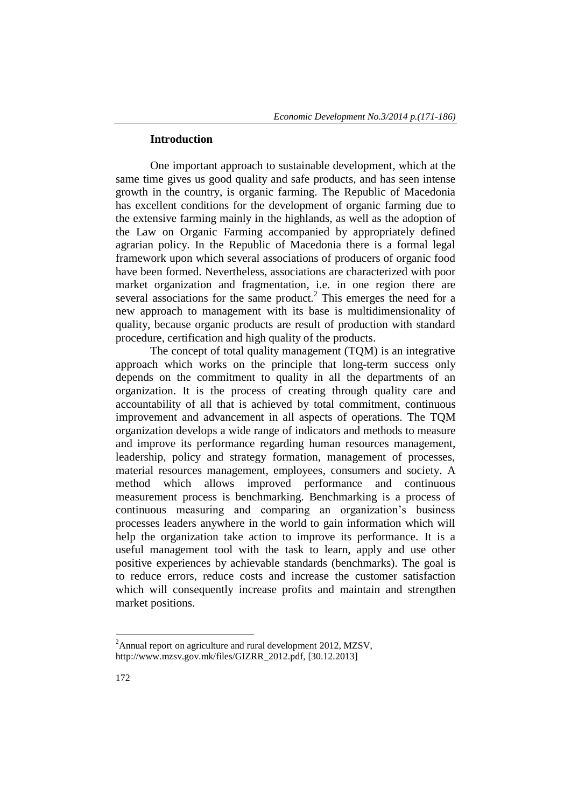#### **Introduction**

One important approach to sustainable development, which at the same time gives us good quality and safe products, and has seen intense growth in the country, is organic farming. The Republic of Macedonia has excellent conditions for the development of organic farming due to the extensive farming mainly in the highlands, as well as the adoption of the Law on Organic Farming accompanied by appropriately defined agrarian policy. In the Republic of Macedonia there is a formal legal framework upon which several associations of producers of organic food have been formed. Nevertheless, associations are characterized with poor market organization and fragmentation, i.e. in one region there are several associations for the same product.<sup>2</sup> This emerges the need for a new approach to management with its base is multidimensionality of quality, because organic products are result of production with standard procedure, certification and high quality of the products.

The concept of total quality management (TQM) is an integrative approach which works on the principle that long-term success only depends on the commitment to quality in all the departments of an organization. It is the process of creating through quality care and accountability of all that is achieved by total commitment, continuous improvement and advancement in all aspects of operations. The TQM organization develops a wide range of indicators and methods to measure and improve its performance regarding human resources management, leadership, policy and strategy formation, management of processes, material resources management, employees, consumers and society. A method which allows improved performance and continuous measurement process is benchmarking. Benchmarking is a process of continuous measuring and comparing an organization's business processes leaders anywhere in the world to gain information which will help the organization take action to improve its performance. It is a useful management tool with the task to learn, apply and use other positive experiences by achievable standards (benchmarks). The goal is to reduce errors, reduce costs and increase the customer satisfaction which will consequently increase profits and maintain and strengthen market positions.

1

<sup>&</sup>lt;sup>2</sup>Annual report on agriculture and rural development 2012, MZSV, [http://www.mzsv.gov.mk/files/GIZRR\\_2012.pdf,](http://www.mzsv.gov.mk/files/GIZRR_2012.pdf) [30.12.2013]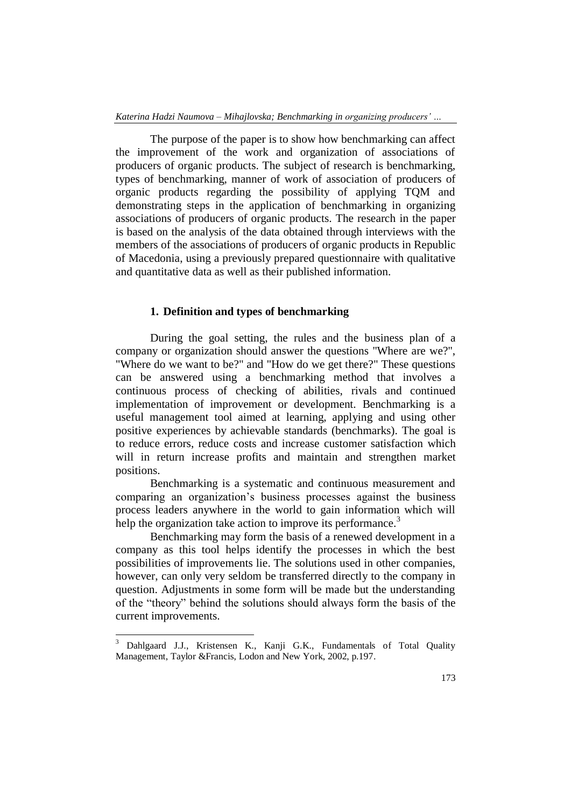The purpose of the paper is to show how benchmarking can affect the improvement of the work and organization of associations of producers of organic products. The subject of research is benchmarking, types of benchmarking, manner of work of association of producers of organic products regarding the possibility of applying TQM and demonstrating steps in the application of benchmarking in organizing associations of producers of organic products. The research in the paper is based on the analysis of the data obtained through interviews with the members of the associations of producers of organic products in Republic of Macedonia, using a previously prepared questionnaire with qualitative and quantitative data as well as their published information.

### **1. Definition and types of benchmarking**

During the goal setting, the rules and the business plan of a company or organization should answer the questions "Where are we?", "Where do we want to be?" and "How do we get there?" These questions can be answered using a benchmarking method that involves a continuous process of checking of abilities, rivals and continued implementation of improvement or development. Benchmarking is a useful management tool aimed at learning, applying and using other positive experiences by achievable standards (benchmarks). The goal is to reduce errors, reduce costs and increase customer satisfaction which will in return increase profits and maintain and strengthen market positions.

Benchmarking is a systematic and continuous measurement and comparing an organization's business processes against the business process leaders anywhere in the world to gain information which will help the organization take action to improve its performance.<sup>3</sup>

Benchmarking may form the basis of a renewed development in a company as this tool helps identify the processes in which the best possibilities of improvements lie. The solutions used in other companies, however, can only very seldom be transferred directly to the company in question. Adjustments in some form will be made but the understanding of the "theory" behind the solutions should always form the basis of the current improvements.

1

<sup>3</sup> Dahlgaard J.J., Kristensen K., Kanji G.K., Fundamentals of Total Quality Management, Taylor &Francis, Lodon and New York, 2002, p.197.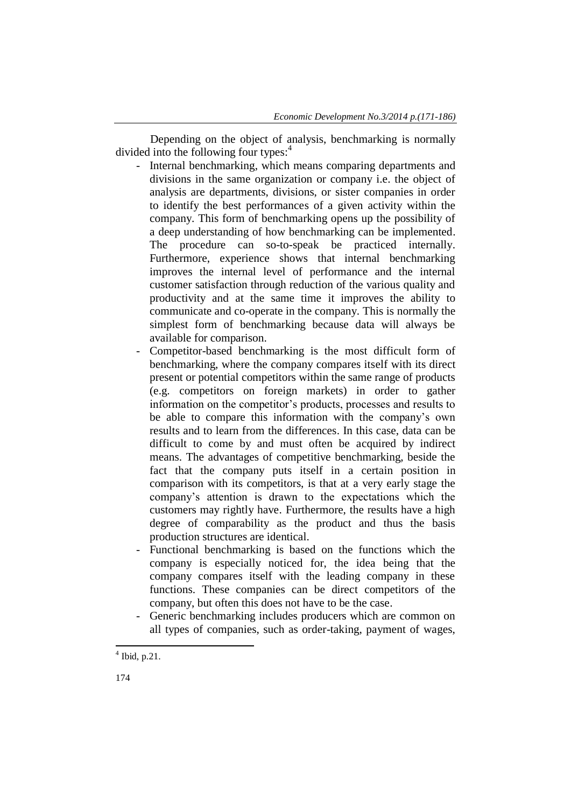Depending on the object of analysis, benchmarking is normally divided into the following four types:<sup>4</sup>

- Internal benchmarking, which means comparing departments and divisions in the same organization or company i.e. the object of analysis are departments, divisions, or sister companies in order to identify the best performances of a given activity within the company. This form of benchmarking opens up the possibility of a deep understanding of how benchmarking can be implemented. The procedure can so-to-speak be practiced internally. Furthermore, experience shows that internal benchmarking improves the internal level of performance and the internal customer satisfaction through reduction of the various quality and productivity and at the same time it improves the ability to communicate and co-operate in the company. This is normally the simplest form of benchmarking because data will always be available for comparison.
- Competitor-based benchmarking is the most difficult form of benchmarking, where the company compares itself with its direct present or potential competitors within the same range of products (e.g. competitors on foreign markets) in order to gather information on the competitor's products, processes and results to be able to compare this information with the company's own results and to learn from the differences. In this case, data can be difficult to come by and must often be acquired by indirect means. The advantages of competitive benchmarking, beside the fact that the company puts itself in a certain position in comparison with its competitors, is that at a very early stage the company's attention is drawn to the expectations which the customers may rightly have. Furthermore, the results have a high degree of comparability as the product and thus the basis production structures are identical.
- Functional benchmarking is based on the functions which the company is especially noticed for, the idea being that the company compares itself with the leading company in these functions. These companies can be direct competitors of the company, but often this does not have to be the case.
- Generic benchmarking includes producers which are common on all types of companies, such as order-taking, payment of wages,

 4 Ibid, p.21.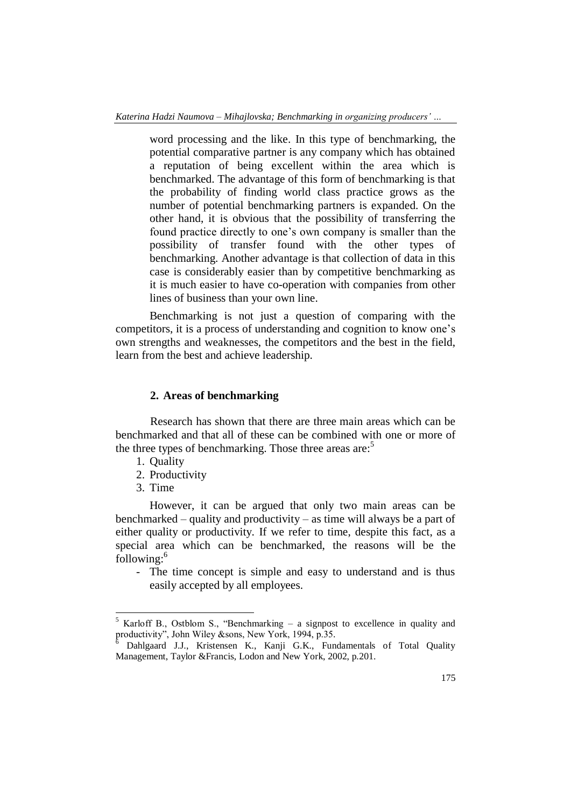word processing and the like. In this type of benchmarking, the potential comparative partner is any company which has obtained a reputation of being excellent within the area which is benchmarked. The advantage of this form of benchmarking is that the probability of finding world class practice grows as the number of potential benchmarking partners is expanded. On the other hand, it is obvious that the possibility of transferring the found practice directly to one's own company is smaller than the possibility of transfer found with the other types of benchmarking. Another advantage is that collection of data in this case is considerably easier than by competitive benchmarking as it is much easier to have co-operation with companies from other lines of business than your own line.

Benchmarking is not just a question of comparing with the competitors, it is a process of understanding and cognition to know one's own strengths and weaknesses, the competitors and the best in the field, learn from the best and achieve leadership.

### **2. Areas of benchmarking**

Research has shown that there are three main areas which can be benchmarked and that all of these can be combined with one or more of the three types of benchmarking. Those three areas are:<sup>5</sup>

- 1. Quality
- 2. Productivity
- 3. Time

 $\overline{a}$ 

However, it can be argued that only two main areas can be benchmarked – quality and productivity – as time will always be a part of either quality or productivity. If we refer to time, despite this fact, as a special area which can be benchmarked, the reasons will be the following:<sup>6</sup>

- The time concept is simple and easy to understand and is thus easily accepted by all employees.

 $5$  Karloff B., Ostblom S., "Benchmarking – a signpost to excellence in quality and productivity", John Wiley &sons, New York, 1994, p.35.

Dahlgaard J.J., Kristensen K., Kanji G.K., Fundamentals of Total Quality Management, Taylor &Francis, Lodon and New York, 2002, p.201.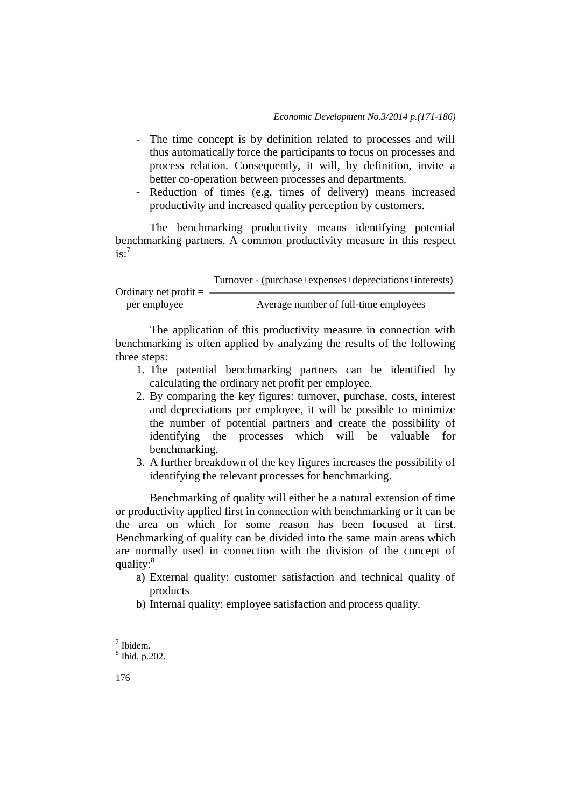- The time concept is by definition related to processes and will thus automatically force the participants to focus on processes and process relation. Consequently, it will, by definition, invite a better co-operation between processes and departments.
- Reduction of times (e.g. times of delivery) means increased productivity and increased quality perception by customers.

The benchmarking productivity means identifying potential benchmarking partners. A common productivity measure in this respect  $i s<sup>7</sup>$ 

|                         | Turnover - (purchase+expenses+depreciations+interests) |
|-------------------------|--------------------------------------------------------|
| Ordinary net profit $=$ |                                                        |
|                         |                                                        |
| per employee            | Average number of full-time employees                  |

The application of this productivity measure in connection with benchmarking is often applied by analyzing the results of the following three steps:

- 1. The potential benchmarking partners can be identified by calculating the ordinary net profit per employee.
- 2. By comparing the key figures: turnover, purchase, costs, interest and depreciations per employee, it will be possible to minimize the number of potential partners and create the possibility of identifying the processes which will be valuable for benchmarking.
- 3. A further breakdown of the key figures increases the possibility of identifying the relevant processes for benchmarking.

Benchmarking of quality will either be a natural extension of time or productivity applied first in connection with benchmarking or it can be the area on which for some reason has been focused at first. Benchmarking of quality can be divided into the same main areas which are normally used in connection with the division of the concept of quality:<sup>8</sup>

- a) External quality: customer satisfaction and technical quality of products
- b) Internal quality: employee satisfaction and process quality.

1

<sup>7</sup> Ibidem.

<sup>8</sup> Ibid, p.202.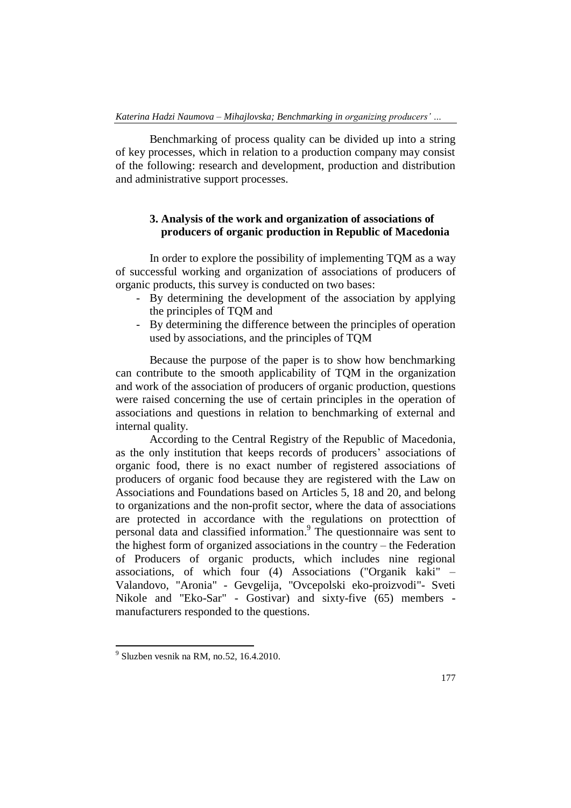Benchmarking of process quality can be divided up into a string of key processes, which in relation to a production company may consist of the following: research and development, production and distribution and administrative support processes.

# **3. Analysis of the work and organization of associations of producers of organic production in Republic of Macedonia**

In order to explore the possibility of implementing TQM as a way of successful working and organization of associations of producers of organic products, this survey is conducted on two bases:

- By determining the development of the association by applying the principles of TQM and
- By determining the difference between the principles of operation used by associations, and the principles of TQM

Because the purpose of the paper is to show how benchmarking can contribute to the smooth applicability of TQM in the organization and work of the association of producers of organic production, questions were raised concerning the use of certain principles in the operation of associations and questions in relation to benchmarking of external and internal quality.

According to the Central Registry of the Republic of Macedonia, as the only institution that keeps records of producers' associations of organic food, there is no exact number of registered associations of producers of organic food because they are registered with the Law on Associations and Foundations based on Articles 5, 18 and 20, and belong to organizations and the non-profit sector, where the data of associations are protected in accordance with the regulations on protecttion of personal data and classified information. 9 The questionnaire was sent to the highest form of organized associations in the country – the Federation of Producers of organic products, which includes nine regional associations, of which four (4) Associations ("Organik kaki" – Valandovo, "Aronia" - Gevgelija, "Ovcepolski eko-proizvodi"- Sveti Nikole and "Eko-Sar" - Gostivar) and sixty-five (65) members manufacturers responded to the questions.

 9 Sluzben vesnik na RM, no.52, 16.4.2010.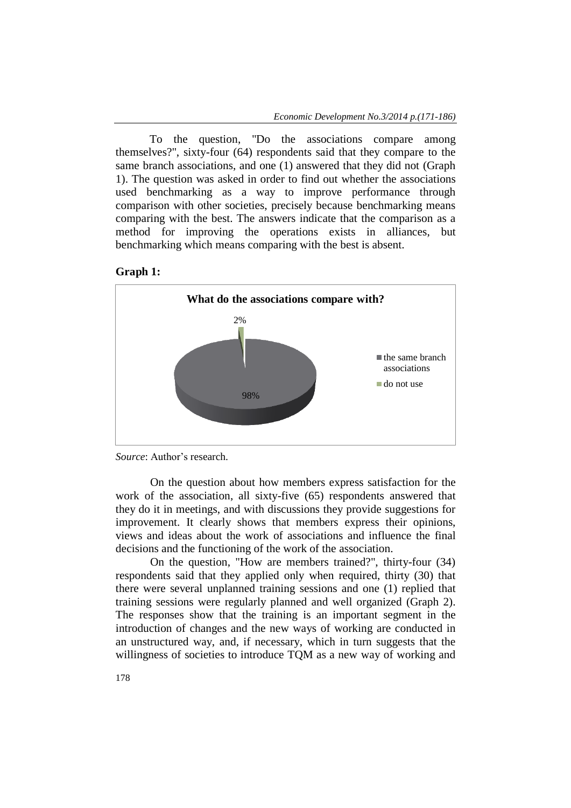To the question, "Do the associations compare among themselves?", sixty-four (64) respondents said that they compare to the same branch associations, and one (1) answered that they did not (Graph 1). The question was asked in order to find out whether the associations used benchmarking as a way to improve performance through comparison with other societies, precisely because benchmarking means comparing with the best. The answers indicate that the comparison as a method for improving the operations exists in alliances, but benchmarking which means comparing with the best is absent.







On the question about how members express satisfaction for the work of the association, all sixty-five (65) respondents answered that they do it in meetings, and with discussions they provide suggestions for improvement. It clearly shows that members express their opinions, views and ideas about the work of associations and influence the final decisions and the functioning of the work of the association.

On the question, "How are members trained?", thirty-four (34) respondents said that they applied only when required, thirty (30) that there were several unplanned training sessions and one (1) replied that training sessions were regularly planned and well organized (Graph 2). The responses show that the training is an important segment in the introduction of changes and the new ways of working are conducted in an unstructured way, and, if necessary, which in turn suggests that the willingness of societies to introduce TQM as a new way of working and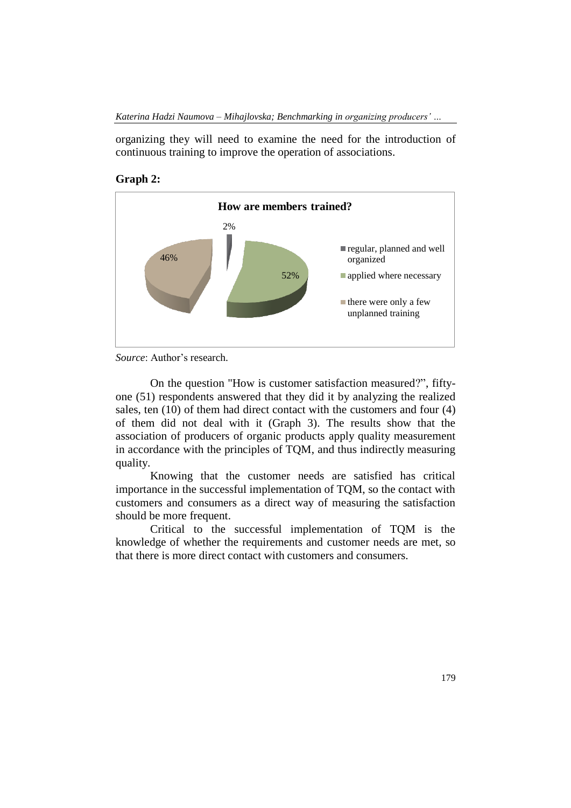organizing they will need to examine the need for the introduction of continuous training to improve the operation of associations.





*Source*: Author's research.

On the question "How is customer satisfaction measured?", fiftyone (51) respondents answered that they did it by analyzing the realized sales, ten (10) of them had direct contact with the customers and four (4) of them did not deal with it (Graph 3). The results show that the association of producers of organic products apply quality measurement in accordance with the principles of TQM, and thus indirectly measuring quality.

Knowing that the customer needs are satisfied has critical importance in the successful implementation of TQM, so the contact with customers and consumers as a direct way of measuring the satisfaction should be more frequent.

Critical to the successful implementation of TQM is the knowledge of whether the requirements and customer needs are met, so that there is more direct contact with customers and consumers.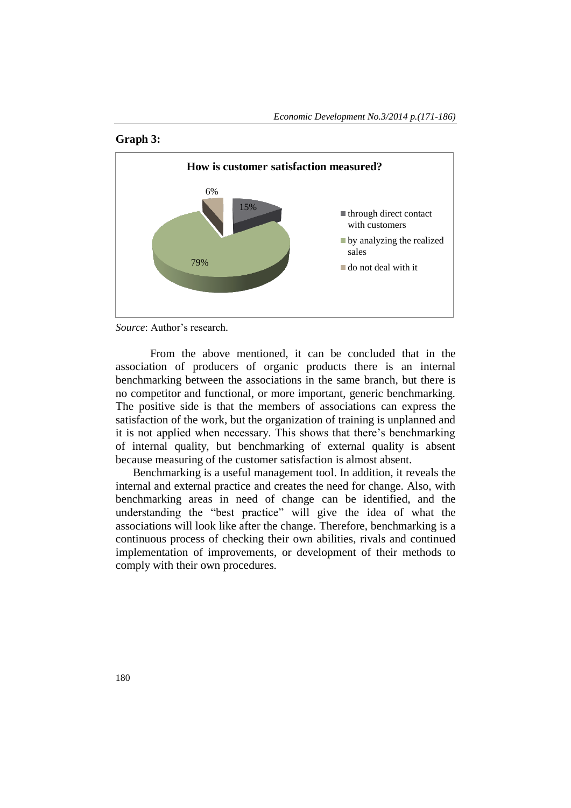



*Source*: Author's research.

From the above mentioned, it can be concluded that in the association of producers of organic products there is an internal benchmarking between the associations in the same branch, but there is no competitor and functional, or more important, generic benchmarking. The positive side is that the members of associations can express the satisfaction of the work, but the organization of training is unplanned and it is not applied when necessary. This shows that there's benchmarking of internal quality, but benchmarking of external quality is absent because measuring of the customer satisfaction is almost absent.

Benchmarking is a useful management tool. In addition, it reveals the internal and external practice and creates the need for change. Also, with benchmarking areas in need of change can be identified, and the understanding the "best practice" will give the idea of what the associations will look like after the change. Therefore, benchmarking is a continuous process of checking their own abilities, rivals and continued implementation of improvements, or development of their methods to comply with their own procedures.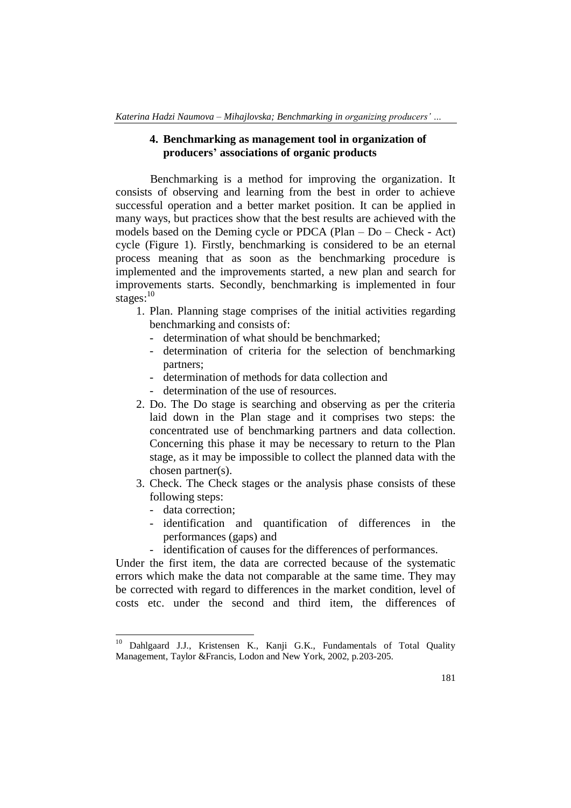#### **4. Benchmarking as management tool in organization of producers' associations of organic products**

Benchmarking is a method for improving the organization. It consists of observing and learning from the best in order to achieve successful operation and a better market position. It can be applied in many ways, but practices show that the best results are achieved with the models based on the Deming cycle or PDCA (Plan – Do – Check - Act) cycle (Figure 1). Firstly, benchmarking is considered to be an eternal process meaning that as soon as the benchmarking procedure is implemented and the improvements started, a new plan and search for improvements starts. Secondly, benchmarking is implemented in four stages: $^{10}$ 

- 1. Plan. Planning stage comprises of the initial activities regarding benchmarking and consists of:
	- determination of what should be benchmarked;
	- determination of criteria for the selection of benchmarking partners;
	- determination of methods for data collection and
	- determination of the use of resources.
- 2. Do. The Do stage is searching and observing as per the criteria laid down in the Plan stage and it comprises two steps: the concentrated use of benchmarking partners and data collection. Concerning this phase it may be necessary to return to the Plan stage, as it may be impossible to collect the planned data with the chosen partner(s).
- 3. Check. The Check stages or the analysis phase consists of these following steps:
	- data correction;

1

- identification and quantification of differences in the performances (gaps) and
- identification of causes for the differences of performances.

Under the first item, the data are corrected because of the systematic errors which make the data not comparable at the same time. They may be corrected with regard to differences in the market condition, level of costs etc. under the second and third item, the differences of

<sup>&</sup>lt;sup>10</sup> Dahlgaard J.J., Kristensen K., Kanji G.K., Fundamentals of Total Quality Management, Taylor &Francis, Lodon and New York, 2002, p.203-205.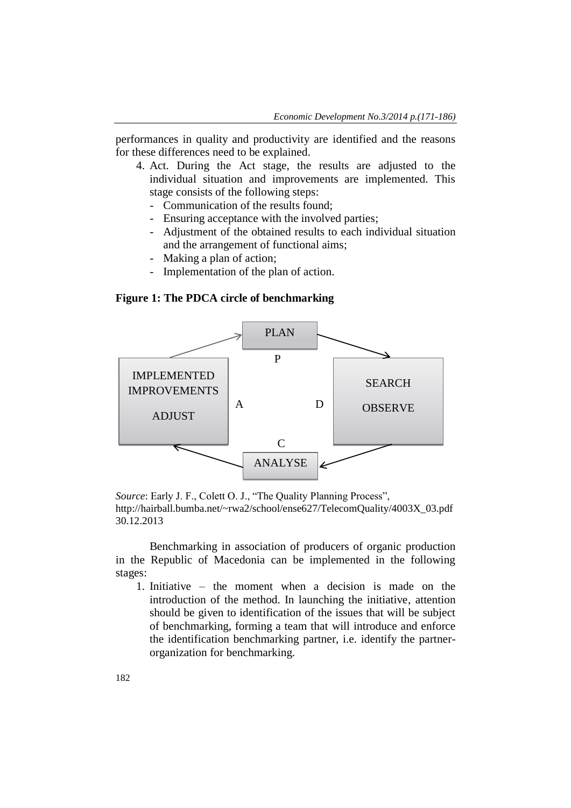performances in quality and productivity are identified and the reasons for these differences need to be explained.

- 4. Act. During the Act stage, the results are adjusted to the individual situation and improvements are implemented. This stage consists of the following steps:
	- Communication of the results found;
	- Ensuring acceptance with the involved parties;
	- Adjustment of the obtained results to each individual situation and the arrangement of functional aims;
	- Making a plan of action;
	- Implementation of the plan of action.

#### **Figure 1: The PDCA circle of benchmarking**



*Source*: Early J. F., Colett O. J., "The Quality Planning Process", http://hairball.bumba.net/~rwa2/school/ense627/TelecomQuality/4003X\_03.pdf 30.12.2013

Benchmarking in association of producers of organic production in the Republic of Macedonia can be implemented in the following stages:

1. Initiative – the moment when a decision is made on the introduction of the method. In launching the initiative, attention should be given to identification of the issues that will be subject of benchmarking, forming a team that will introduce and enforce the identification benchmarking partner, i.e. identify the partnerorganization for benchmarking.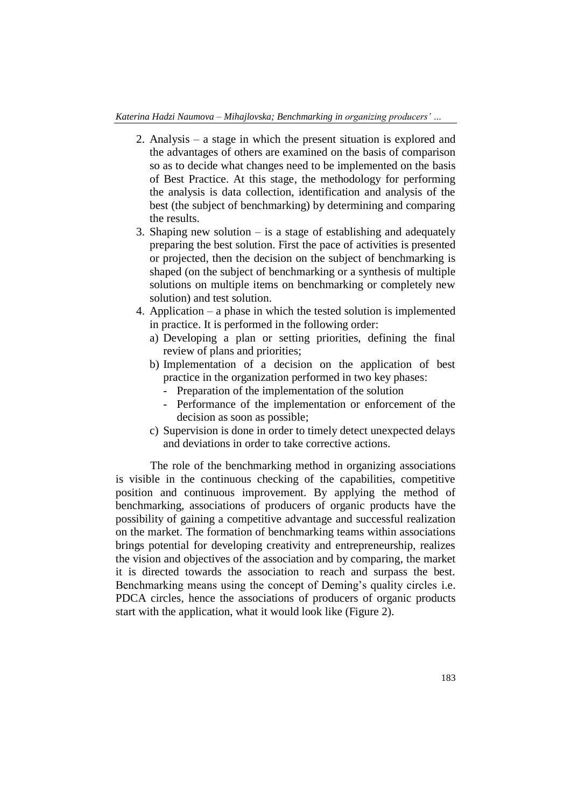- 2. Analysis a stage in which the present situation is explored and the advantages of others are examined on the basis of comparison so as to decide what changes need to be implemented on the basis of Best Practice. At this stage, the methodology for performing the analysis is data collection, identification and analysis of the best (the subject of benchmarking) by determining and comparing the results.
- 3. Shaping new solution  $-\text{i}$  is a stage of establishing and adequately preparing the best solution. First the pace of activities is presented or projected, then the decision on the subject of benchmarking is shaped (on the subject of benchmarking or a synthesis of multiple solutions on multiple items on benchmarking or completely new solution) and test solution.
- 4. Application a phase in which the tested solution is implemented in practice. It is performed in the following order:
	- a) Developing a plan or setting priorities, defining the final review of plans and priorities;
	- b) Implementation of a decision on the application of best practice in the organization performed in two key phases:
		- Preparation of the implementation of the solution
		- Performance of the implementation or enforcement of the decision as soon as possible;
	- c) Supervision is done in order to timely detect unexpected delays and deviations in order to take corrective actions.

The role of the benchmarking method in organizing associations is visible in the continuous checking of the capabilities, competitive position and continuous improvement. By applying the method of benchmarking, associations of producers of organic products have the possibility of gaining a competitive advantage and successful realization on the market. The formation of benchmarking teams within associations brings potential for developing creativity and entrepreneurship, realizes the vision and objectives of the association and by comparing, the market it is directed towards the association to reach and surpass the best. Benchmarking means using the concept of Deming's quality circles i.e. PDCA circles, hence the associations of producers of organic products start with the application, what it would look like (Figure 2).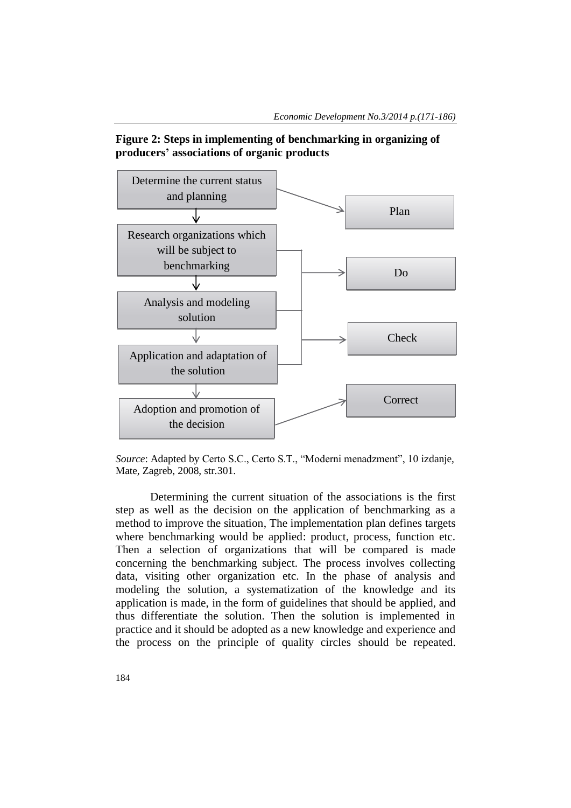



*Source*: Adapted by Certo S.C., Certo S.T., "Moderni menadzment", 10 izdanje, Mate, Zagreb, 2008, str.301.

Determining the current situation of the associations is the first step as well as the decision on the application of benchmarking as a method to improve the situation, The implementation plan defines targets where benchmarking would be applied: product, process, function etc. Then a selection of organizations that will be compared is made concerning the benchmarking subject. The process involves collecting data, visiting other organization etc. In the phase of analysis and modeling the solution, a systematization of the knowledge and its application is made, in the form of guidelines that should be applied, and thus differentiate the solution. Then the solution is implemented in practice and it should be adopted as a new knowledge and experience and the process on the principle of quality circles should be repeated.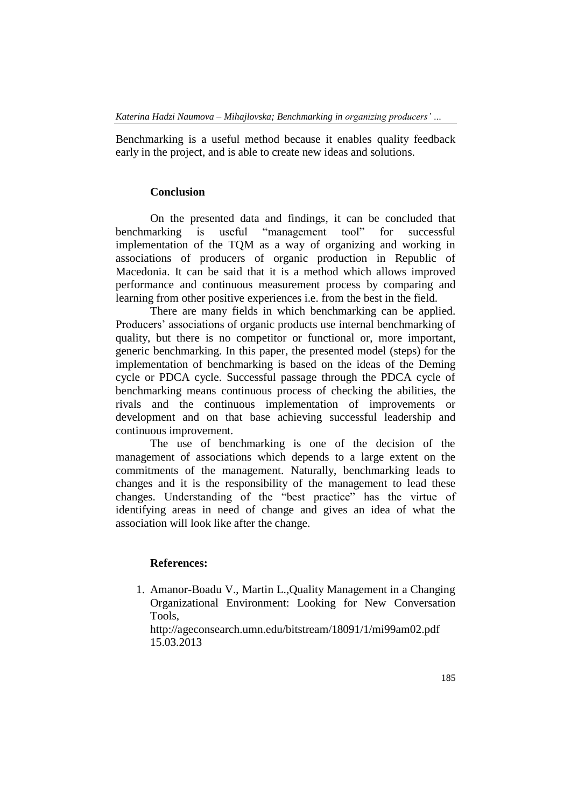Benchmarking is a useful method because it enables quality feedback early in the project, and is able to create new ideas and solutions.

#### **Conclusion**

On the presented data and findings, it can be concluded that benchmarking is useful "management tool" for successful implementation of the TQM as a way of organizing and working in associations of producers of organic production in Republic of Macedonia. It can be said that it is a method which allows improved performance and continuous measurement process by comparing and learning from other positive experiences i.e. from the best in the field.

There are many fields in which benchmarking can be applied. Producers' associations of organic products use internal benchmarking of quality, but there is no competitor or functional or, more important, generic benchmarking. In this paper, the presented model (steps) for the implementation of benchmarking is based on the ideas of the Deming cycle or PDCA cycle. Successful passage through the PDCA cycle of benchmarking means continuous process of checking the abilities, the rivals and the continuous implementation of improvements or development and on that base achieving successful leadership and continuous improvement.

The use of benchmarking is one of the decision of the management of associations which depends to a large extent on the commitments of the management. Naturally, benchmarking leads to changes and it is the responsibility of the management to lead these changes. Understanding of the "best practice" has the virtue of identifying areas in need of change and gives an idea of what the association will look like after the change.

### **References:**

1. Amanor-Boadu V., Martin L.,Quality Management in a Changing Organizational Environment: Looking for New Conversation Tools,

<http://ageconsearch.umn.edu/bitstream/18091/1/mi99am02.pdf> 15.03.2013